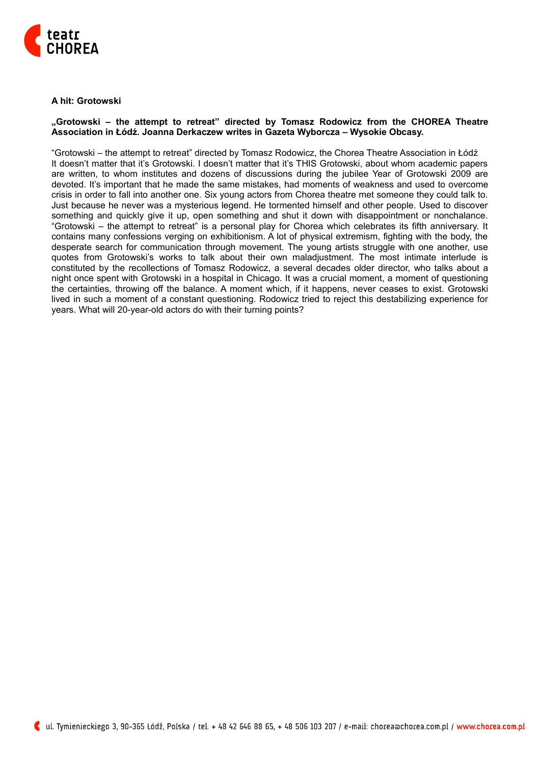

## **A hit: Grotowski**

## **"Grotowski – the attempt to retreat" directed by Tomasz Rodowicz from the CHOREA Theatre Association in Łódź. Joanna Derkaczew writes in Gazeta Wyborcza – Wysokie Obcasy.**

"Grotowski – the attempt to retreat" directed by Tomasz Rodowicz, the Chorea Theatre Association in Łódź It doesn't matter that it's Grotowski. I doesn't matter that it's THIS Grotowski, about whom academic papers are written, to whom institutes and dozens of discussions during the jubilee Year of Grotowski 2009 are devoted. It's important that he made the same mistakes, had moments of weakness and used to overcome crisis in order to fall into another one. Six young actors from Chorea theatre met someone they could talk to. Just because he never was a mysterious legend. He tormented himself and other people. Used to discover something and quickly give it up, open something and shut it down with disappointment or nonchalance. "Grotowski – the attempt to retreat" is a personal play for Chorea which celebrates its fifth anniversary. It contains many confessions verging on exhibitionism. A lot of physical extremism, fighting with the body, the desperate search for communication through movement. The young artists struggle with one another, use quotes from Grotowski's works to talk about their own maladjustment. The most intimate interlude is constituted by the recollections of Tomasz Rodowicz, a several decades older director, who talks about a night once spent with Grotowski in a hospital in Chicago. It was a crucial moment, a moment of questioning the certainties, throwing off the balance. A moment which, if it happens, never ceases to exist. Grotowski lived in such a moment of a constant questioning. Rodowicz tried to reject this destabilizing experience for years. What will 20-year-old actors do with their turning points?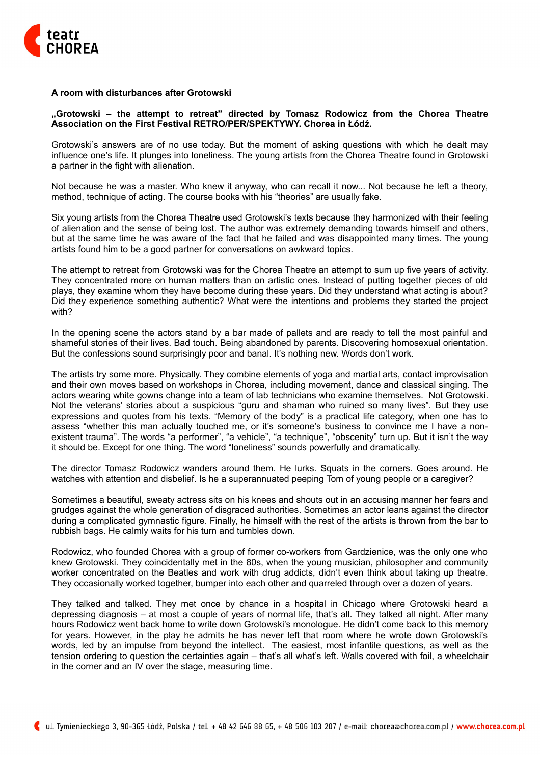

## **A room with disturbances after Grotowski**

## **"Grotowski – the attempt to retreat" directed by Tomasz Rodowicz from the Chorea Theatre Association on the First Festival RETRO/PER/SPEKTYWY. Chorea in Łódź.**

Grotowski's answers are of no use today. But the moment of asking questions with which he dealt may influence one's life. It plunges into loneliness. The young artists from the Chorea Theatre found in Grotowski a partner in the fight with alienation.

Not because he was a master. Who knew it anyway, who can recall it now... Not because he left a theory, method, technique of acting. The course books with his "theories" are usually fake.

Six young artists from the Chorea Theatre used Grotowski's texts because they harmonized with their feeling of alienation and the sense of being lost. The author was extremely demanding towards himself and others, but at the same time he was aware of the fact that he failed and was disappointed many times. The young artists found him to be a good partner for conversations on awkward topics.

The attempt to retreat from Grotowski was for the Chorea Theatre an attempt to sum up five years of activity. They concentrated more on human matters than on artistic ones. Instead of putting together pieces of old plays, they examine whom they have become during these years. Did they understand what acting is about? Did they experience something authentic? What were the intentions and problems they started the project with?

In the opening scene the actors stand by a bar made of pallets and are ready to tell the most painful and shameful stories of their lives. Bad touch. Being abandoned by parents. Discovering homosexual orientation. But the confessions sound surprisingly poor and banal. It's nothing new. Words don't work.

The artists try some more. Physically. They combine elements of yoga and martial arts, contact improvisation and their own moves based on workshops in Chorea, including movement, dance and classical singing. The actors wearing white gowns change into a team of lab technicians who examine themselves. Not Grotowski. Not the veterans' stories about a suspicious "guru and shaman who ruined so many lives". But they use expressions and quotes from his texts. "Memory of the body" is a practical life category, when one has to assess "whether this man actually touched me, or it's someone's business to convince me I have a nonexistent trauma". The words "a performer", "a vehicle", "a technique", "obscenity" turn up. But it isn't the way it should be. Except for one thing. The word "loneliness" sounds powerfully and dramatically.

The director Tomasz Rodowicz wanders around them. He lurks. Squats in the corners. Goes around. He watches with attention and disbelief. Is he a superannuated peeping Tom of young people or a caregiver?

Sometimes a beautiful, sweaty actress sits on his knees and shouts out in an accusing manner her fears and grudges against the whole generation of disgraced authorities. Sometimes an actor leans against the director during a complicated gymnastic figure. Finally, he himself with the rest of the artists is thrown from the bar to rubbish bags. He calmly waits for his turn and tumbles down.

Rodowicz, who founded Chorea with a group of former co-workers from Gardzienice, was the only one who knew Grotowski. They coincidentally met in the 80s, when the young musician, philosopher and community worker concentrated on the Beatles and work with drug addicts, didn't even think about taking up theatre. They occasionally worked together, bumper into each other and quarreled through over a dozen of years.

They talked and talked. They met once by chance in a hospital in Chicago where Grotowski heard a depressing diagnosis – at most a couple of years of normal life, that's all. They talked all night. After many hours Rodowicz went back home to write down Grotowski's monologue. He didn't come back to this memory for years. However, in the play he admits he has never left that room where he wrote down Grotowski's words, led by an impulse from beyond the intellect. The easiest, most infantile questions, as well as the tension ordering to question the certainties again – that's all what's left. Walls covered with foil, a wheelchair in the corner and an IV over the stage, measuring time.